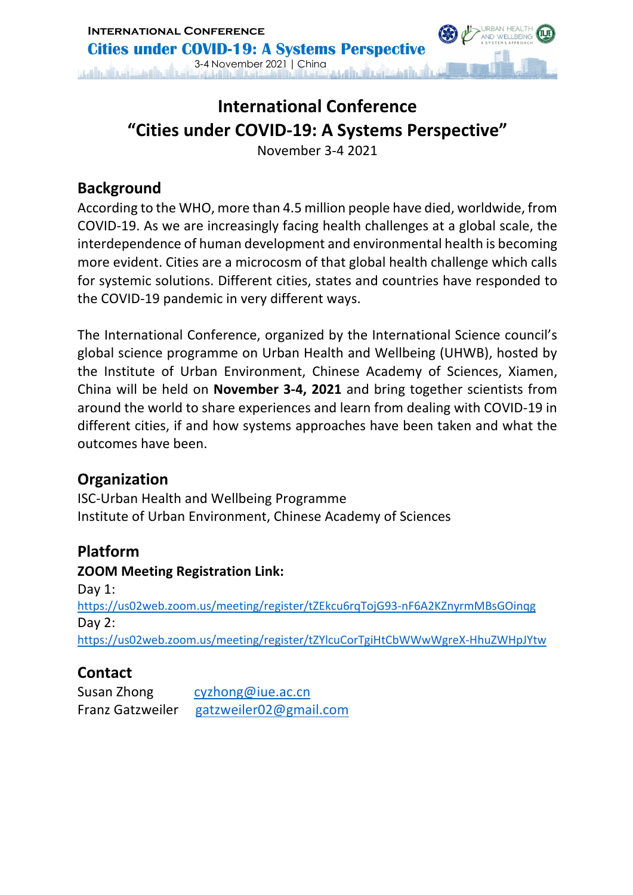

## **International Conference "Cities under COVID-19: A Systems Perspective"**

November 3-4 2021

### **Background**

According to the WHO, more than 4.5 million people have died, worldwide, from COVID-19. As we are increasingly facing health challenges at a global scale, the interdependence of human development and environmental health is becoming more evident. Cities are a microcosm of that global health challenge which calls for systemic solutions. Different cities, states and countries have responded to the COVID-19 pandemic in very different ways.

The International Conference, organized by the International Science council's global science programme on Urban Health and Wellbeing (UHWB), hosted by the Institute of Urban Environment, Chinese Academy of Sciences, Xiamen, China will be held on **November 3-4, 2021** and bring together scientists from around the world to share experiences and learn from dealing with COVID-19 in different cities, if and how systems approaches have been taken and what the outcomes have been.

### **Organization**

ISC-Urban Health and Wellbeing Programme Institute of Urban Environment, Chinese Academy of Sciences

## **Platform**

**ZOOM Meeting Registration Link:**  Dav 1: https://us02web.zoom.us/meeting/register/tZEkcu6rqTojG93-nF6A2KZnyrmMBsGOinqg Day 2: https://us02web.zoom.us/meeting/register/tZYlcuCorTgiHtCbWWwWgreX-HhuZWHpJYtw

## **Contact**

| Susan Zhong             | cyzhong@iue.ac.cn      |
|-------------------------|------------------------|
| <b>Franz Gatzweiler</b> | gatzweiler02@gmail.com |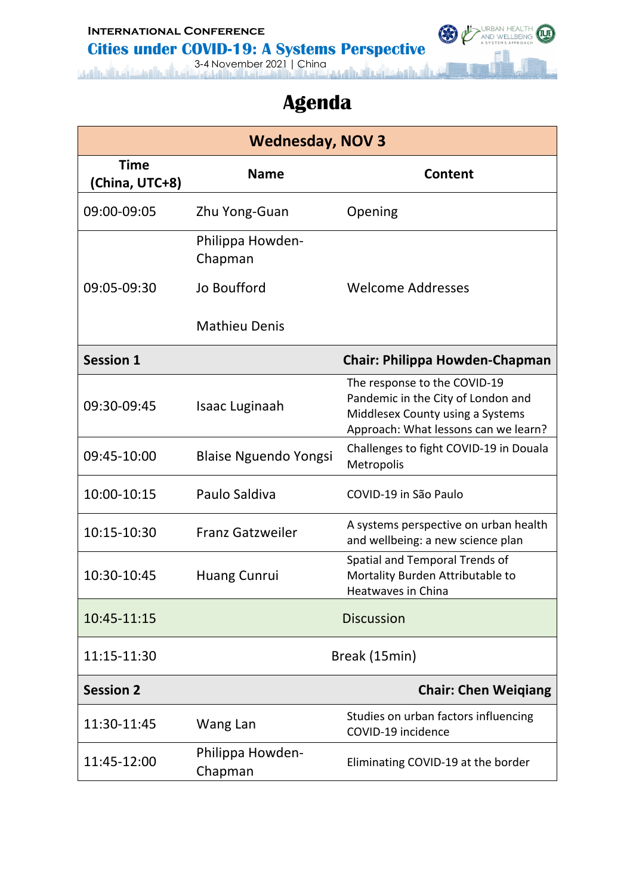#### **International Conference Cities under COVID-19: A Systems Perspective**



# **Agenda**

URBAN HEALTH

G

| <b>Wednesday, NOV 3</b>       |                              |                                                                                                                                                |  |
|-------------------------------|------------------------------|------------------------------------------------------------------------------------------------------------------------------------------------|--|
| <b>Time</b><br>(China, UTC+8) | <b>Name</b>                  | Content                                                                                                                                        |  |
| 09:00-09:05                   | Zhu Yong-Guan                | Opening                                                                                                                                        |  |
|                               | Philippa Howden-<br>Chapman  |                                                                                                                                                |  |
| 09:05-09:30                   | Jo Boufford                  | <b>Welcome Addresses</b>                                                                                                                       |  |
|                               | <b>Mathieu Denis</b>         |                                                                                                                                                |  |
| <b>Session 1</b>              |                              | <b>Chair: Philippa Howden-Chapman</b>                                                                                                          |  |
| 09:30-09:45                   | Isaac Luginaah               | The response to the COVID-19<br>Pandemic in the City of London and<br>Middlesex County using a Systems<br>Approach: What lessons can we learn? |  |
| 09:45-10:00                   | <b>Blaise Nguendo Yongsi</b> | Challenges to fight COVID-19 in Douala<br>Metropolis                                                                                           |  |
| 10:00-10:15                   | Paulo Saldiva                | COVID-19 in São Paulo                                                                                                                          |  |
| 10:15-10:30                   | <b>Franz Gatzweiler</b>      | A systems perspective on urban health<br>and wellbeing: a new science plan                                                                     |  |
| 10:30-10:45                   | <b>Huang Cunrui</b>          | Spatial and Temporal Trends of<br>Mortality Burden Attributable to<br><b>Heatwaves in China</b>                                                |  |
| 10:45-11:15                   |                              | <b>Discussion</b>                                                                                                                              |  |
| 11:15-11:30                   |                              | Break (15min)                                                                                                                                  |  |
| <b>Session 2</b>              |                              | <b>Chair: Chen Weigiang</b>                                                                                                                    |  |
| 11:30-11:45                   | Wang Lan                     | Studies on urban factors influencing<br>COVID-19 incidence                                                                                     |  |
| 11:45-12:00                   | Philippa Howden-<br>Chapman  | Eliminating COVID-19 at the border                                                                                                             |  |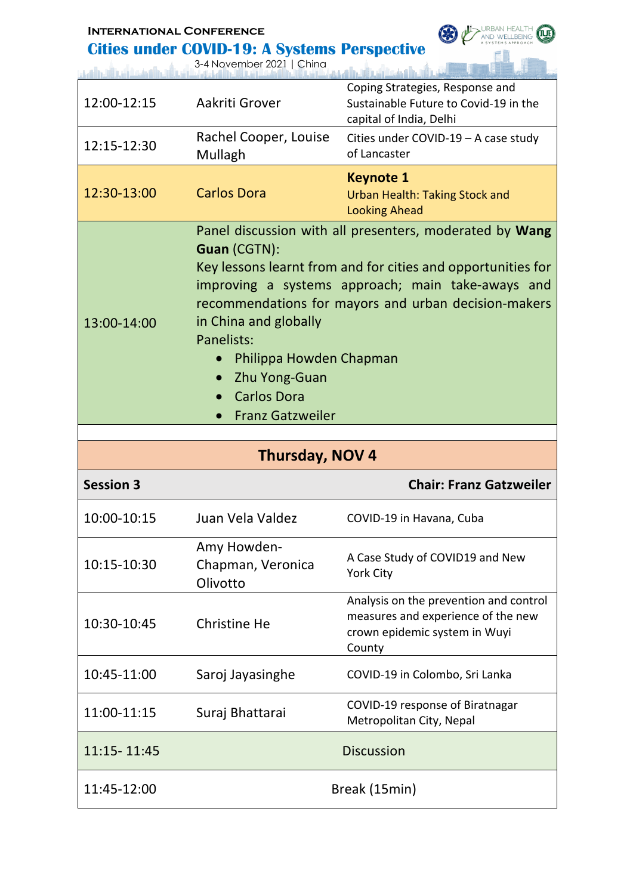| <b>INTERNATIONAL CONFERENCE</b> |  |  |  |
|---------------------------------|--|--|--|
|                                 |  |  |  |

#### **Cities under COVID-19: A Systems Perspective**

OF AND WELLBEING (I.J.)

3-4 November 2021 | China

|                  | 3-4 November 2021   China                                                                                                                                                               |                                                                                                                                                                                                                                      |
|------------------|-----------------------------------------------------------------------------------------------------------------------------------------------------------------------------------------|--------------------------------------------------------------------------------------------------------------------------------------------------------------------------------------------------------------------------------------|
| 12:00-12:15      | Aakriti Grover                                                                                                                                                                          | Coping Strategies, Response and<br>Sustainable Future to Covid-19 in the<br>capital of India, Delhi                                                                                                                                  |
| 12:15-12:30      | Rachel Cooper, Louise<br>Mullagh                                                                                                                                                        | Cities under COVID-19 - A case study<br>of Lancaster                                                                                                                                                                                 |
| 12:30-13:00      | <b>Carlos Dora</b>                                                                                                                                                                      | <b>Keynote 1</b><br><b>Urban Health: Taking Stock and</b><br><b>Looking Ahead</b>                                                                                                                                                    |
| 13:00-14:00      | Guan (CGTN):<br>in China and globally<br>Panelists:<br>Philippa Howden Chapman<br>Zhu Yong-Guan<br>$\bullet$<br><b>Carlos Dora</b><br>$\bullet$<br><b>Franz Gatzweiler</b><br>$\bullet$ | Panel discussion with all presenters, moderated by Wang<br>Key lessons learnt from and for cities and opportunities for<br>improving a systems approach; main take-aways and<br>recommendations for mayors and urban decision-makers |
|                  |                                                                                                                                                                                         |                                                                                                                                                                                                                                      |
|                  |                                                                                                                                                                                         |                                                                                                                                                                                                                                      |
| <b>Session 3</b> | Thursday, NOV 4                                                                                                                                                                         | <b>Chair: Franz Gatzweiler</b>                                                                                                                                                                                                       |
| 10:00-10:15      | Juan Vela Valdez                                                                                                                                                                        | COVID-19 in Havana, Cuba                                                                                                                                                                                                             |
| 10:15-10:30      | Amy Howden-<br>Chapman, Veronica<br>Olivotto                                                                                                                                            | A Case Study of COVID19 and New<br><b>York City</b>                                                                                                                                                                                  |
| 10:30-10:45      | <b>Christine He</b>                                                                                                                                                                     | Analysis on the prevention and control<br>measures and experience of the new<br>crown epidemic system in Wuyi<br>County                                                                                                              |
| 10:45-11:00      | Saroj Jayasinghe                                                                                                                                                                        | COVID-19 in Colombo, Sri Lanka                                                                                                                                                                                                       |
| 11:00-11:15      | Suraj Bhattarai                                                                                                                                                                         | COVID-19 response of Biratnagar<br>Metropolitan City, Nepal                                                                                                                                                                          |
| 11:15-11:45      |                                                                                                                                                                                         | <b>Discussion</b>                                                                                                                                                                                                                    |